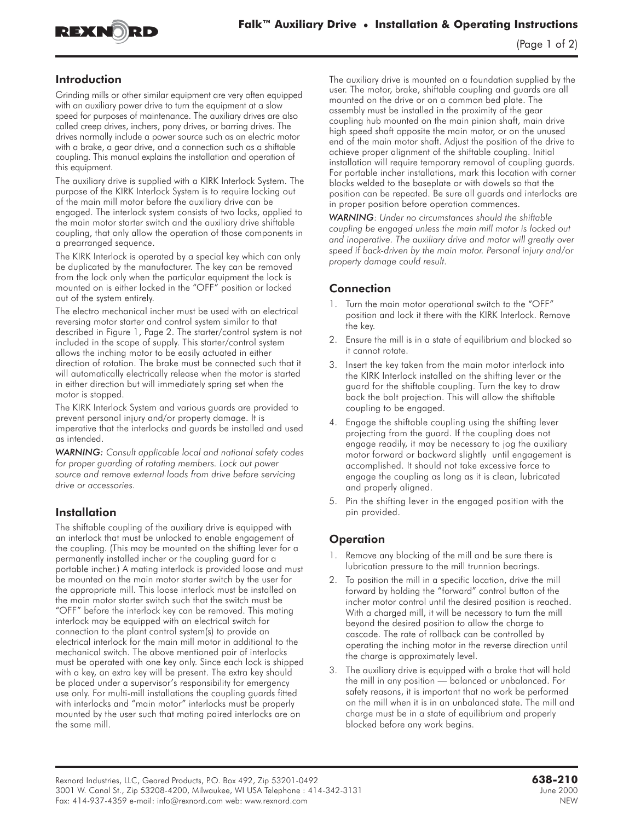

#### Introduction

Grinding mills or other similar equipment are very often equipped with an auxiliary power drive to turn the equipment at a slow speed for purposes of maintenance. The auxiliary drives are also called creep drives, inchers, pony drives, or barring drives. The drives normally include a power source such as an electric motor with a brake, a gear drive, and a connection such as a shiftable coupling. This manual explains the installation and operation of this equipment.

The auxiliary drive is supplied with a KIRK Interlock System. The purpose of the KIRK Interlock System is to require locking out of the main mill motor before the auxiliary drive can be engaged. The interlock system consists of two locks, applied to the main motor starter switch and the auxiliary drive shiftable coupling, that only allow the operation of those components in a prearranged sequence.

The KIRK Interlock is operated by a special key which can only be duplicated by the manufacturer. The key can be removed from the lock only when the particular equipment the lock is mounted on is either locked in the "OFF" position or locked out of the system entirely.

The electro mechanical incher must be used with an electrical reversing motor starter and control system similar to that described in Figure 1, Page 2. The starter/control system is not included in the scope of supply. This starter/control system allows the inching motor to be easily actuated in either direction of rotation. The brake must be connected such that it will automatically electrically release when the motor is started in either direction but will immediately spring set when the motor is stopped.

The KIRK Interlock System and various guards are provided to prevent personal injury and/or property damage. It is imperative that the interlocks and guards be installed and used as intended.

*WARNING: Consult applicable local and national safety codes for proper guarding of rotating members. Lock out power source and remove external loads from drive before servicing drive or accessories.*

### Installation

The shiftable coupling of the auxiliary drive is equipped with an interlock that must be unlocked to enable engagement of the coupling. (This may be mounted on the shifting lever for a permanently installed incher or the coupling guard for a portable incher.) A mating interlock is provided loose and must be mounted on the main motor starter switch by the user for the appropriate mill. This loose interlock must be installed on the main motor starter switch such that the switch must be "OFF" before the interlock key can be removed. This mating interlock may be equipped with an electrical switch for connection to the plant control system(s) to provide an electrical interlock for the main mill motor in additional to the mechanical switch. The above mentioned pair of interlocks must be operated with one key only. Since each lock is shipped with a key, an extra key will be present. The extra key should be placed under a supervisor's responsibility for emergency use only. For multi-mill installations the coupling guards fitted with interlocks and "main motor" interlocks must be properly mounted by the user such that mating paired interlocks are on the same mill.

The auxiliary drive is mounted on a foundation supplied by the user. The motor, brake, shiftable coupling and guards are all mounted on the drive or on a common bed plate. The assembly must be installed in the proximity of the gear coupling hub mounted on the main pinion shaft, main drive high speed shaft opposite the main motor, or on the unused end of the main motor shaft. Adjust the position of the drive to achieve proper alignment of the shiftable coupling. Initial installation will require temporary removal of coupling guards. For portable incher installations, mark this location with corner blocks welded to the baseplate or with dowels so that the position can be repeated. Be sure all guards and interlocks are in proper position before operation commences.

*WARNING: Under no circumstances should the shiftable coupling be engaged unless the main mill motor is locked out and inoperative. The auxiliary drive and motor will greatly over speed if back-driven by the main motor. Personal injury and/or property damage could result.*

## **Connection**

- 1. Turn the main motor operational switch to the "OFF" position and lock it there with the KIRK Interlock. Remove the key.
- 2. Ensure the mill is in a state of equilibrium and blocked so it cannot rotate.
- 3. Insert the key taken from the main motor interlock into the KIRK Interlock installed on the shifting lever or the guard for the shiftable coupling. Turn the key to draw back the bolt projection. This will allow the shiftable coupling to be engaged.
- 4. Engage the shiftable coupling using the shifting lever projecting from the guard. If the coupling does not engage readily, it may be necessary to jog the auxiliary motor forward or backward slightly until engagement is accomplished. It should not take excessive force to engage the coupling as long as it is clean, lubricated and properly aligned.
- 5. Pin the shifting lever in the engaged position with the pin provided.

### **Operation**

- 1. Remove any blocking of the mill and be sure there is lubrication pressure to the mill trunnion bearings.
- 2. To position the mill in a specific location, drive the mill forward by holding the "forward" control button of the incher motor control until the desired position is reached. With a charged mill, it will be necessary to turn the mill beyond the desired position to allow the charge to cascade. The rate of rollback can be controlled by operating the inching motor in the reverse direction until the charge is approximately level.
- 3. The auxiliary drive is equipped with a brake that will hold the mill in any position — balanced or unbalanced. For safety reasons, it is important that no work be performed on the mill when it is in an unbalanced state. The mill and charge must be in a state of equilibrium and properly blocked before any work begins.